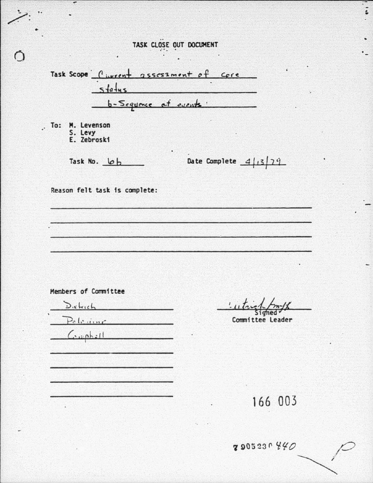|                                             | TASK CLOSE OUT DOCUMENT                                        |
|---------------------------------------------|----------------------------------------------------------------|
| $5 + a + u s$                               | Task Scope Civerent assessment of core<br>b-Sequence et events |
| . To: M. Levenson<br>S. Levy<br>E. Zebroski |                                                                |
| Task No. 6                                  | Date Complete $4/13/79$                                        |
|                                             |                                                                |
|                                             |                                                                |
| Dietrich<br>Pelegine                        | Lutric<br>Committee Leader                                     |
| Members of Committee<br>Cumbell             |                                                                |

 $,$ 

 $\circ$ 

2905230440

 $\ddot{\phantom{a}}$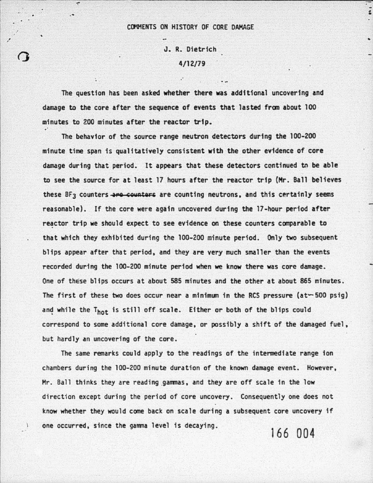.· ,•

 $\Omega$ 

'----------~ ------- ---~---

..

## J. R. Dietrich 4/12/79

The question has been asked whether there was additional uncovering and damage to the core after the sequence of events that lasted from about 100 minutes to 200 minutes after the reactor trip.<br>The behavior of the source range neutron detectors during the 100-200

.·

minute time span is qualitatively consistent with the other evidence of core damage during that period. It appears that these detectors continued tn be able to see the source for at least 17 hours after the reactor trip (Hr. Ball believes these BF<sub>3</sub> counters are counters are counting neutrons, and this certainly seems reasonable). If the core were again uncovered during the 17-hour period after reactor trip we should expect to see evidence on these counters comparable to that which they exhibited during the 100-200 minute period. Only two subsequent blips appear after that period, and they are very much smaller than the events recorded during the 100-200 minute period when we know there was core damage. One of these blips occurs at about 585 minutes and the other at about 865 minutes. The first of these two does occur near a minimum in the RCS pressure (at--500 psig) and while the Thot is still off scale. Either or both of the blips could correspond to some additional core damage, *or* possibly a shift of the damaged fuel, · but hardly an uncovering of the core.

The same remarks could apply to the readings of the intermediate range ion chambers during the 100-200 minute duration of the known damage event. However, Mr. Ball thinks they are reading gammas, and they are off scale in the low direction except during the period of core uncovery. Consequently one does not know whether they would come back on scale during a subsequent core uncovery if one occurred, since the gamma level is decaying.

166 004

ا<br>-<br>1  $\ddot{\phantom{a}}$ 

•